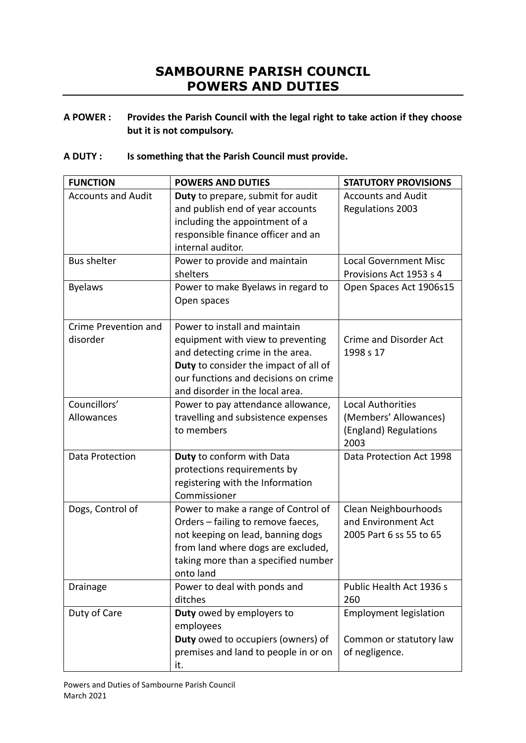## **SAMBOURNE PARISH COUNCIL POWERS AND DUTIES**

**A POWER : Provides the Parish Council with the legal right to take action if they choose but it is not compulsory.**

## **A DUTY : Is something that the Parish Council must provide.**

| <b>FUNCTION</b>                  | <b>POWERS AND DUTIES</b>                                                                                                                                                                                                   | <b>STATUTORY PROVISIONS</b>                                                        |
|----------------------------------|----------------------------------------------------------------------------------------------------------------------------------------------------------------------------------------------------------------------------|------------------------------------------------------------------------------------|
| <b>Accounts and Audit</b>        | Duty to prepare, submit for audit<br>and publish end of year accounts<br>including the appointment of a<br>responsible finance officer and an<br>internal auditor.                                                         | <b>Accounts and Audit</b><br>Regulations 2003                                      |
| <b>Bus shelter</b>               | Power to provide and maintain<br>shelters                                                                                                                                                                                  | <b>Local Government Misc</b><br>Provisions Act 1953 s 4                            |
| <b>Byelaws</b>                   | Power to make Byelaws in regard to<br>Open spaces                                                                                                                                                                          | Open Spaces Act 1906s15                                                            |
| Crime Prevention and<br>disorder | Power to install and maintain<br>equipment with view to preventing<br>and detecting crime in the area.<br>Duty to consider the impact of all of<br>our functions and decisions on crime<br>and disorder in the local area. | <b>Crime and Disorder Act</b><br>1998 s 17                                         |
| Councillors'<br>Allowances       | Power to pay attendance allowance,<br>travelling and subsistence expenses<br>to members                                                                                                                                    | <b>Local Authorities</b><br>(Members' Allowances)<br>(England) Regulations<br>2003 |
| Data Protection                  | Duty to conform with Data<br>protections requirements by<br>registering with the Information<br>Commissioner                                                                                                               | Data Protection Act 1998                                                           |
| Dogs, Control of                 | Power to make a range of Control of<br>Orders - failing to remove faeces,<br>not keeping on lead, banning dogs<br>from land where dogs are excluded,<br>taking more than a specified number<br>onto land                   | Clean Neighbourhoods<br>and Environment Act<br>2005 Part 6 ss 55 to 65             |
| Drainage                         | Power to deal with ponds and<br>ditches                                                                                                                                                                                    | Public Health Act 1936 s<br>260                                                    |
| Duty of Care                     | Duty owed by employers to<br>employees<br>Duty owed to occupiers (owners) of<br>premises and land to people in or on<br>it.                                                                                                | <b>Employment legislation</b><br>Common or statutory law<br>of negligence.         |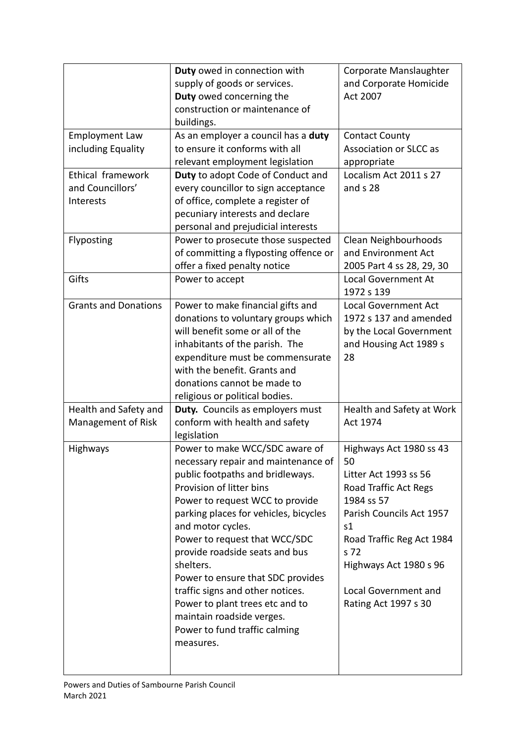|                             | Duty owed in connection with          | Corporate Manslaughter        |
|-----------------------------|---------------------------------------|-------------------------------|
|                             | supply of goods or services.          | and Corporate Homicide        |
|                             | Duty owed concerning the              | <b>Act 2007</b>               |
|                             | construction or maintenance of        |                               |
|                             | buildings.                            |                               |
| <b>Employment Law</b>       | As an employer a council has a duty   | <b>Contact County</b>         |
| including Equality          | to ensure it conforms with all        | <b>Association or SLCC as</b> |
|                             | relevant employment legislation       | appropriate                   |
| Ethical framework           | Duty to adopt Code of Conduct and     | Localism Act 2011 s 27        |
| and Councillors'            | every councillor to sign acceptance   | and s 28                      |
| Interests                   | of office, complete a register of     |                               |
|                             | pecuniary interests and declare       |                               |
|                             | personal and prejudicial interests    |                               |
| Flyposting                  | Power to prosecute those suspected    | Clean Neighbourhoods          |
|                             | of committing a flyposting offence or | and Environment Act           |
|                             | offer a fixed penalty notice          | 2005 Part 4 ss 28, 29, 30     |
| Gifts                       | Power to accept                       | <b>Local Government At</b>    |
|                             |                                       | 1972 s 139                    |
| <b>Grants and Donations</b> | Power to make financial gifts and     | <b>Local Government Act</b>   |
|                             | donations to voluntary groups which   | 1972 s 137 and amended        |
|                             | will benefit some or all of the       | by the Local Government       |
|                             | inhabitants of the parish. The        | and Housing Act 1989 s        |
|                             | expenditure must be commensurate      | 28                            |
|                             | with the benefit. Grants and          |                               |
|                             | donations cannot be made to           |                               |
|                             | religious or political bodies.        |                               |
| Health and Safety and       | Duty. Councils as employers must      | Health and Safety at Work     |
| Management of Risk          | conform with health and safety        | Act 1974                      |
|                             | legislation                           |                               |
| Highways                    | Power to make WCC/SDC aware of        | Highways Act 1980 ss 43       |
|                             | necessary repair and maintenance of   | 50                            |
|                             | public footpaths and bridleways.      | Litter Act 1993 ss 56         |
|                             | Provision of litter bins              | Road Traffic Act Regs         |
|                             | Power to request WCC to provide       | 1984 ss 57                    |
|                             | parking places for vehicles, bicycles | Parish Councils Act 1957      |
|                             | and motor cycles.                     | s1                            |
|                             | Power to request that WCC/SDC         | Road Traffic Reg Act 1984     |
|                             | provide roadside seats and bus        | s 72                          |
|                             | shelters.                             | Highways Act 1980 s 96        |
|                             | Power to ensure that SDC provides     |                               |
|                             | traffic signs and other notices.      | <b>Local Government and</b>   |
|                             | Power to plant trees etc and to       | Rating Act 1997 s 30          |
|                             | maintain roadside verges.             |                               |
|                             | Power to fund traffic calming         |                               |
|                             | measures.                             |                               |
|                             |                                       |                               |
|                             |                                       |                               |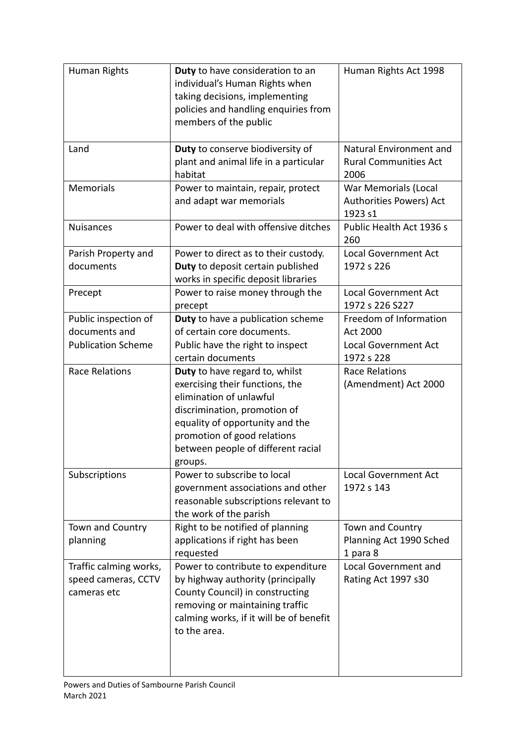| Human Rights                                                       | Duty to have consideration to an<br>individual's Human Rights when<br>taking decisions, implementing<br>policies and handling enquiries from<br>members of the public                                                                           | Human Rights Act 1998                                                                  |
|--------------------------------------------------------------------|-------------------------------------------------------------------------------------------------------------------------------------------------------------------------------------------------------------------------------------------------|----------------------------------------------------------------------------------------|
| Land                                                               | Duty to conserve biodiversity of<br>plant and animal life in a particular<br>habitat                                                                                                                                                            | Natural Environment and<br><b>Rural Communities Act</b><br>2006                        |
| Memorials                                                          | Power to maintain, repair, protect<br>and adapt war memorials                                                                                                                                                                                   | War Memorials (Local<br>Authorities Powers) Act<br>1923 s1                             |
| Nuisances                                                          | Power to deal with offensive ditches                                                                                                                                                                                                            | Public Health Act 1936 s<br>260                                                        |
| Parish Property and<br>documents                                   | Power to direct as to their custody.<br>Duty to deposit certain published<br>works in specific deposit libraries                                                                                                                                | <b>Local Government Act</b><br>1972 s 226                                              |
| Precept                                                            | Power to raise money through the<br>precept                                                                                                                                                                                                     | <b>Local Government Act</b><br>1972 s 226 S227                                         |
| Public inspection of<br>documents and<br><b>Publication Scheme</b> | <b>Duty</b> to have a publication scheme<br>of certain core documents.<br>Public have the right to inspect<br>certain documents                                                                                                                 | Freedom of Information<br><b>Act 2000</b><br><b>Local Government Act</b><br>1972 s 228 |
| <b>Race Relations</b>                                              | Duty to have regard to, whilst<br>exercising their functions, the<br>elimination of unlawful<br>discrimination, promotion of<br>equality of opportunity and the<br>promotion of good relations<br>between people of different racial<br>groups. | <b>Race Relations</b><br>(Amendment) Act 2000                                          |
| Subscriptions                                                      | Power to subscribe to local<br>government associations and other<br>reasonable subscriptions relevant to<br>the work of the parish                                                                                                              | <b>Local Government Act</b><br>1972 s 143                                              |
| Town and Country<br>planning                                       | Right to be notified of planning<br>applications if right has been<br>requested                                                                                                                                                                 | Town and Country<br>Planning Act 1990 Sched<br>1 para 8                                |
| Traffic calming works,<br>speed cameras, CCTV<br>cameras etc       | Power to contribute to expenditure<br>by highway authority (principally<br>County Council) in constructing<br>removing or maintaining traffic<br>calming works, if it will be of benefit<br>to the area.                                        | <b>Local Government and</b><br>Rating Act 1997 s30                                     |